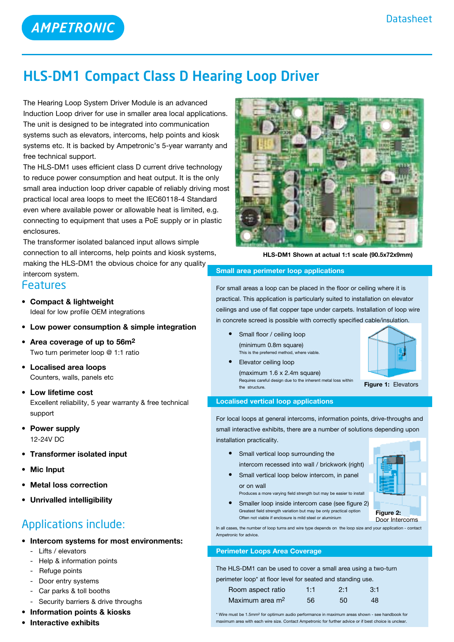# HLS-DM1 Compact Class D Hearing Loop Driver

The Hearing Loop System Driver Module is an advanced Induction Loop driver for use in smaller area local applications. The unit is designed to be integrated into communication systems such as elevators, intercoms, help points and kiosk systems etc. It is backed by Ampetronic's 5-year warranty and free technical support.

The HLS-DM1 uses efficient class D current drive technology to reduce power consumption and heat output. It is the only small area induction loop driver capable of reliably driving most practical local area loops to meet the IEC60118-4 Standard even where available power or allowable heat is limited, e.g. connecting to equipment that uses a PoE supply or in plastic enclosures.

The transformer isolated balanced input allows simple connection to all intercoms, help points and kiosk systems, making the HLS-DM1 the obvious choice for any quality

## intercom system.

## Features

- **• Compact & lightweight** Ideal for low profile OEM integrations
- **• Low power consumption & simple integration**
- **• Area coverage of up to 56m2** Two turn perimeter loop @ 1:1 ratio
- **• Localised area loops** Counters, walls, panels etc
- **Low lifetime cost** Excellent reliability, 5 year warranty & free technical support
- **• Power supply** 12-24V DC
- **• Transformer isolated input**
- **Mic Input**
- **Metal loss correction**
- **• Unrivalled intelligibility**

## Applications include:

- **• Intercom systems for most environments:**
	- Lifts / elevators
	- Help & information points
	- Refuge points
	- Door entry systems
	- Car parks & toll booths
	- Security barriers & drive throughs
- **• Information points & kiosks**
- **• Interactive exhibits**



**HLS-DM1 Shown at actual 1:1 scale (90.5x72x9mm)**

## **Small area perimeter loop applications**

For small areas a loop can be placed in the floor or ceiling where it is practical. This application is particularly suited to installation on elevator ceilings and use of flat copper tape under carpets. Installation of loop wire in concrete screed is possible with correctly specified cable/insulation.

- **Small floor / ceiling loop**  (minimum 0.8m square) This is the preferred method, where viable.
- **•**  Elevator ceiling loop  $(maximum 1.6 x 2.4m square)$  Requires careful design due to the inherent metal loss within the structure.

# **Figure 1:** Elevators

## **Localised vertical loop applications**

For local loops at general intercoms, information points, drive-throughs and small interactive exhibits, there are a number of solutions depending upon installation practicality.

- **•**  Small vertical loop surrounding the intercom recessed into wall / brickwork (right)
- **•** Small vertical loop below intercom, in panel or on wall

Often not viable if enclosure is mild steel or aluminium

Produces a more varying field strength but may be easier to install • Smaller loop inside intercom case (see figure 2) Greatest field strength variation but may be only practical option



Door Intercoms

In all cases, the number of loop turns and wire type depends on the loop size and your application - contact Ampetronic for advice.

## **Perimeter Loops Area Coverage**

The HLS-DM1 can be used to cover a small area using a two-turn perimeter loop\* at floor level for seated and standing use.

| while to be at floor forch for boatou and bidirumy doo. |     |     |     |
|---------------------------------------------------------|-----|-----|-----|
| Room aspect ratio                                       | 1:1 | 2:1 | 3:1 |
| Maximum area m <sup>2</sup>                             | 56. | 50  | 48  |

\* Wire must be 1.5mm2 for optimum audio performance in maximum areas shown - see handbook for maximum area with each wire size. Contact Ampetronic for further advice or if best choice is unclear.